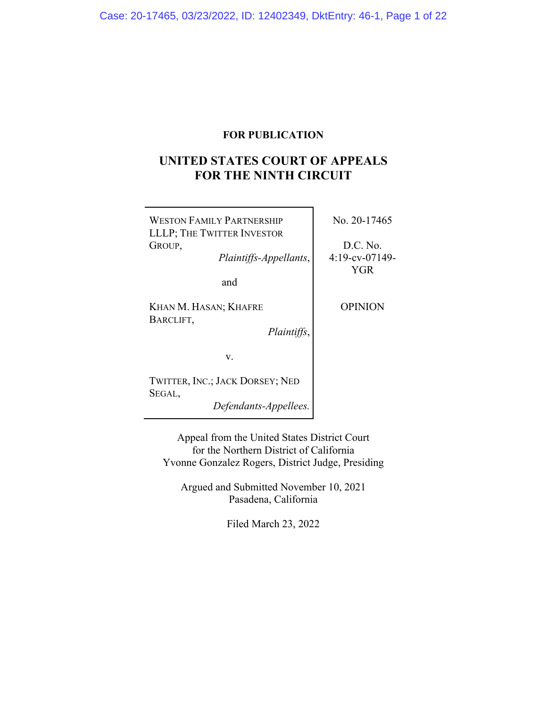# **FOR PUBLICATION**

# **UNITED STATES COURT OF APPEALS FOR THE NINTH CIRCUIT**

| <b>WESTON FAMILY PARTNERSHIP</b><br>LLLP; THE TWITTER INVESTOR | No. 20-17465                  |
|----------------------------------------------------------------|-------------------------------|
| GROUP,<br>Plaintiffs-Appellants,                               | D.C. No.<br>$4:19$ -cv-07149- |
| and                                                            | YGR                           |
| KHAN M. HASAN; KHAFRE<br>BARCLIFT,<br>Plaintiffs,              | <b>OPINION</b>                |
| V.                                                             |                               |
| TWITTER, INC.; JACK DORSEY; NED                                |                               |
| SEGAL,<br>Defendants-Appellees.                                |                               |

Appeal from the United States District Court for the Northern District of California Yvonne Gonzalez Rogers, District Judge, Presiding

Argued and Submitted November 10, 2021 Pasadena, California

Filed March 23, 2022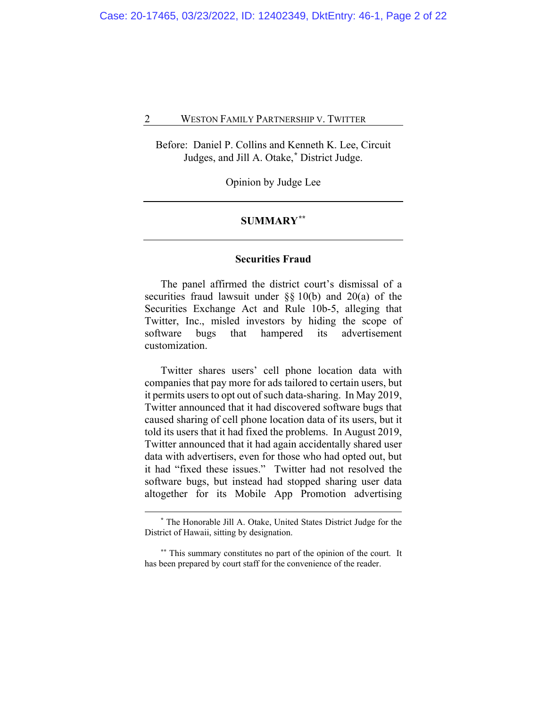Before: Daniel P. Collins and Kenneth K. Lee, Circuit Judges, and Jill A. Otake,**[\\*](#page-1-0)** District Judge.

Opinion by Judge Lee

### **SUMMARY[\\*\\*](#page-1-1)**

#### **Securities Fraud**

The panel affirmed the district court's dismissal of a securities fraud lawsuit under §§ 10(b) and 20(a) of the Securities Exchange Act and Rule 10b-5, alleging that Twitter, Inc., misled investors by hiding the scope of software bugs that hampered its advertisement customization.

Twitter shares users' cell phone location data with companies that pay more for ads tailored to certain users, but it permits users to opt out of such data-sharing. In May 2019, Twitter announced that it had discovered software bugs that caused sharing of cell phone location data of its users, but it told its users that it had fixed the problems. In August 2019, Twitter announced that it had again accidentally shared user data with advertisers, even for those who had opted out, but it had "fixed these issues." Twitter had not resolved the software bugs, but instead had stopped sharing user data altogether for its Mobile App Promotion advertising

**<sup>\*</sup>** The Honorable Jill A. Otake, United States District Judge for the District of Hawaii, sitting by designation.

<span id="page-1-1"></span><span id="page-1-0"></span>**<sup>\*\*</sup>** This summary constitutes no part of the opinion of the court. It has been prepared by court staff for the convenience of the reader.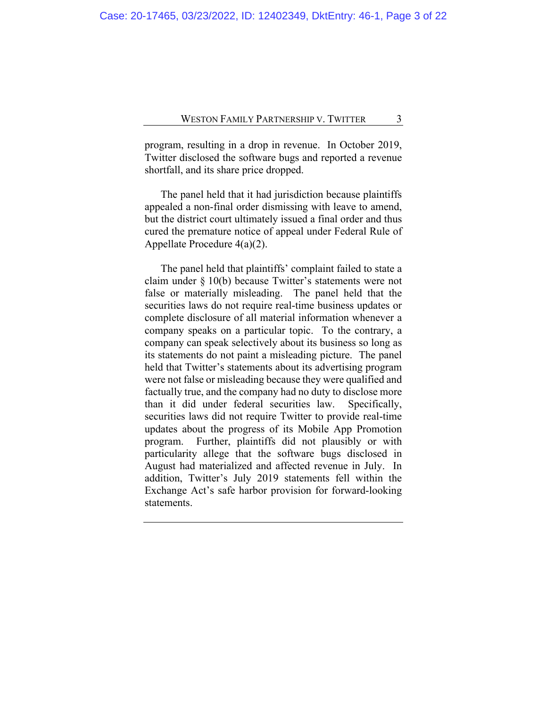program, resulting in a drop in revenue. In October 2019, Twitter disclosed the software bugs and reported a revenue shortfall, and its share price dropped.

The panel held that it had jurisdiction because plaintiffs appealed a non-final order dismissing with leave to amend, but the district court ultimately issued a final order and thus cured the premature notice of appeal under Federal Rule of Appellate Procedure 4(a)(2).

The panel held that plaintiffs' complaint failed to state a claim under § 10(b) because Twitter's statements were not false or materially misleading. The panel held that the securities laws do not require real-time business updates or complete disclosure of all material information whenever a company speaks on a particular topic. To the contrary, a company can speak selectively about its business so long as its statements do not paint a misleading picture. The panel held that Twitter's statements about its advertising program were not false or misleading because they were qualified and factually true, and the company had no duty to disclose more than it did under federal securities law. Specifically, securities laws did not require Twitter to provide real-time updates about the progress of its Mobile App Promotion program. Further, plaintiffs did not plausibly or with particularity allege that the software bugs disclosed in August had materialized and affected revenue in July. In addition, Twitter's July 2019 statements fell within the Exchange Act's safe harbor provision for forward-looking statements.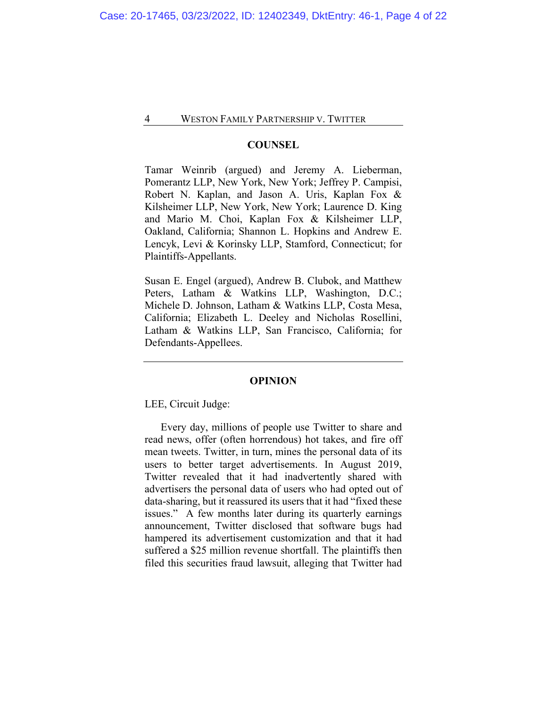#### **COUNSEL**

Tamar Weinrib (argued) and Jeremy A. Lieberman, Pomerantz LLP, New York, New York; Jeffrey P. Campisi, Robert N. Kaplan, and Jason A. Uris, Kaplan Fox & Kilsheimer LLP, New York, New York; Laurence D. King and Mario M. Choi, Kaplan Fox & Kilsheimer LLP, Oakland, California; Shannon L. Hopkins and Andrew E. Lencyk, Levi & Korinsky LLP, Stamford, Connecticut; for Plaintiffs-Appellants.

Susan E. Engel (argued), Andrew B. Clubok, and Matthew Peters, Latham & Watkins LLP, Washington, D.C.; Michele D. Johnson, Latham & Watkins LLP, Costa Mesa, California; Elizabeth L. Deeley and Nicholas Rosellini, Latham & Watkins LLP, San Francisco, California; for Defendants-Appellees.

#### **OPINION**

LEE, Circuit Judge:

Every day, millions of people use Twitter to share and read news, offer (often horrendous) hot takes, and fire off mean tweets. Twitter, in turn, mines the personal data of its users to better target advertisements. In August 2019, Twitter revealed that it had inadvertently shared with advertisers the personal data of users who had opted out of data-sharing, but it reassured its users that it had "fixed these issues." A few months later during its quarterly earnings announcement, Twitter disclosed that software bugs had hampered its advertisement customization and that it had suffered a \$25 million revenue shortfall. The plaintiffs then filed this securities fraud lawsuit, alleging that Twitter had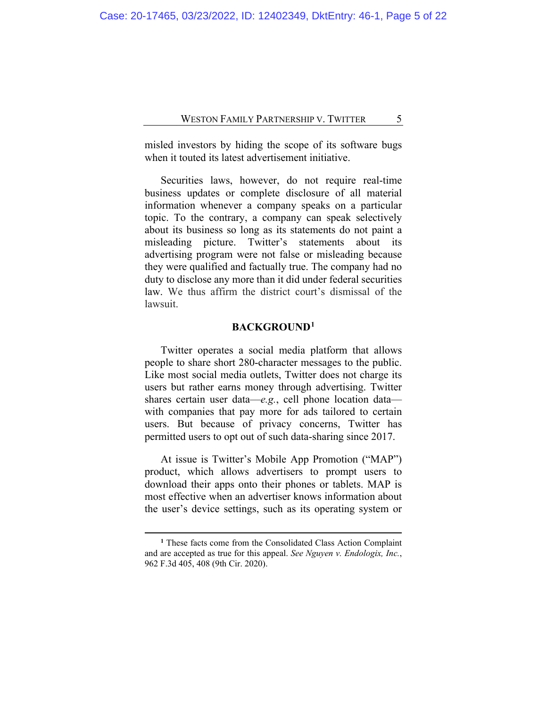misled investors by hiding the scope of its software bugs when it touted its latest advertisement initiative.

Securities laws, however, do not require real-time business updates or complete disclosure of all material information whenever a company speaks on a particular topic. To the contrary, a company can speak selectively about its business so long as its statements do not paint a misleading picture. Twitter's statements about its advertising program were not false or misleading because they were qualified and factually true. The company had no duty to disclose any more than it did under federal securities law. We thus affirm the district court's dismissal of the lawsuit.

#### **BACKGROUND[1](#page-4-0)**

Twitter operates a social media platform that allows people to share short 280-character messages to the public. Like most social media outlets, Twitter does not charge its users but rather earns money through advertising. Twitter shares certain user data—*e.g.*, cell phone location data with companies that pay more for ads tailored to certain users. But because of privacy concerns, Twitter has permitted users to opt out of such data-sharing since 2017.

At issue is Twitter's Mobile App Promotion ("MAP") product, which allows advertisers to prompt users to download their apps onto their phones or tablets. MAP is most effective when an advertiser knows information about the user's device settings, such as its operating system or

<span id="page-4-0"></span>**<sup>1</sup>** These facts come from the Consolidated Class Action Complaint and are accepted as true for this appeal. *See Nguyen v. Endologix, Inc.*, 962 F.3d 405, 408 (9th Cir. 2020).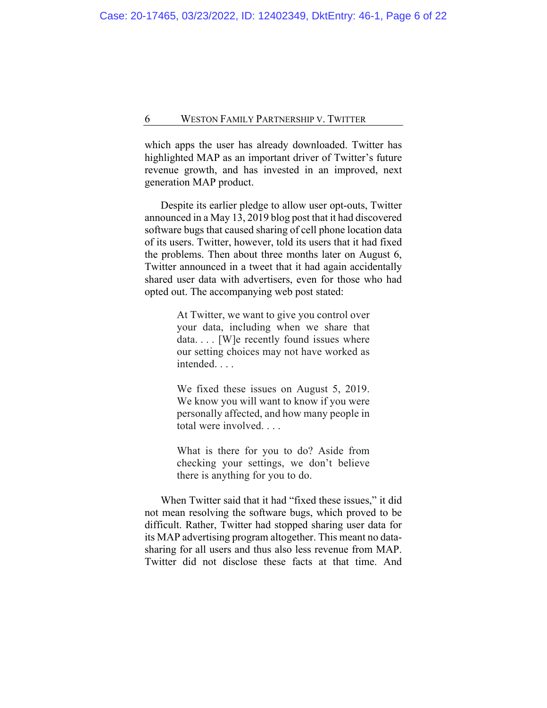which apps the user has already downloaded. Twitter has highlighted MAP as an important driver of Twitter's future revenue growth, and has invested in an improved, next generation MAP product.

Despite its earlier pledge to allow user opt-outs, Twitter announced in a May 13, 2019 blog post that it had discovered software bugs that caused sharing of cell phone location data of its users. Twitter, however, told its users that it had fixed the problems. Then about three months later on August 6, Twitter announced in a tweet that it had again accidentally shared user data with advertisers, even for those who had opted out. The accompanying web post stated:

> At Twitter, we want to give you control over your data, including when we share that data.... [W]e recently found issues where our setting choices may not have worked as intended. . . .

> We fixed these issues on August 5, 2019. We know you will want to know if you were personally affected, and how many people in total were involved. . . .

> What is there for you to do? Aside from checking your settings, we don't believe there is anything for you to do.

When Twitter said that it had "fixed these issues," it did not mean resolving the software bugs, which proved to be difficult. Rather, Twitter had stopped sharing user data for its MAP advertising program altogether. This meant no datasharing for all users and thus also less revenue from MAP. Twitter did not disclose these facts at that time. And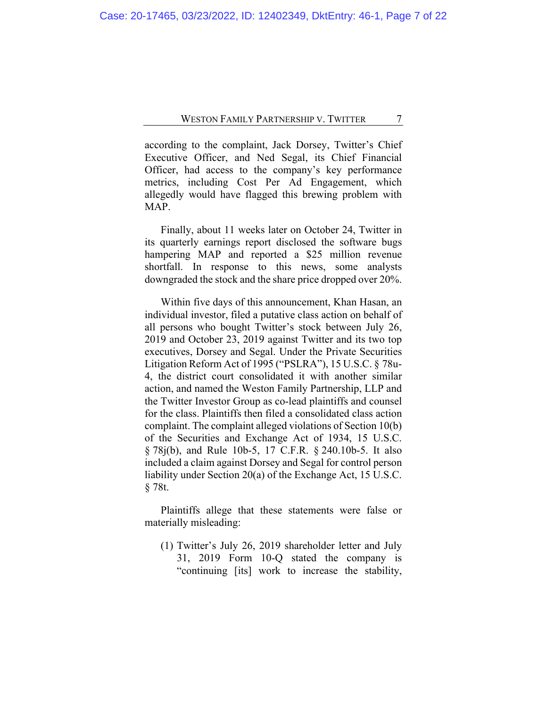according to the complaint, Jack Dorsey, Twitter's Chief Executive Officer, and Ned Segal, its Chief Financial Officer, had access to the company's key performance metrics, including Cost Per Ad Engagement, which allegedly would have flagged this brewing problem with MAP.

Finally, about 11 weeks later on October 24, Twitter in its quarterly earnings report disclosed the software bugs hampering MAP and reported a \$25 million revenue shortfall. In response to this news, some analysts downgraded the stock and the share price dropped over 20%.

Within five days of this announcement, Khan Hasan, an individual investor, filed a putative class action on behalf of all persons who bought Twitter's stock between July 26, 2019 and October 23, 2019 against Twitter and its two top executives, Dorsey and Segal. Under the Private Securities Litigation Reform Act of 1995 ("PSLRA"), 15 U.S.C. § 78u-4, the district court consolidated it with another similar action, and named the Weston Family Partnership, LLP and the Twitter Investor Group as co-lead plaintiffs and counsel for the class. Plaintiffs then filed a consolidated class action complaint. The complaint alleged violations of Section 10(b) of the Securities and Exchange Act of 1934, 15 U.S.C. § 78j(b), and Rule 10b-5, 17 C.F.R. § 240.10b-5. It also included a claim against Dorsey and Segal for control person liability under Section 20(a) of the Exchange Act, 15 U.S.C. § 78t.

Plaintiffs allege that these statements were false or materially misleading:

(1) Twitter's July 26, 2019 shareholder letter and July 31, 2019 Form 10-Q stated the company is "continuing [its] work to increase the stability,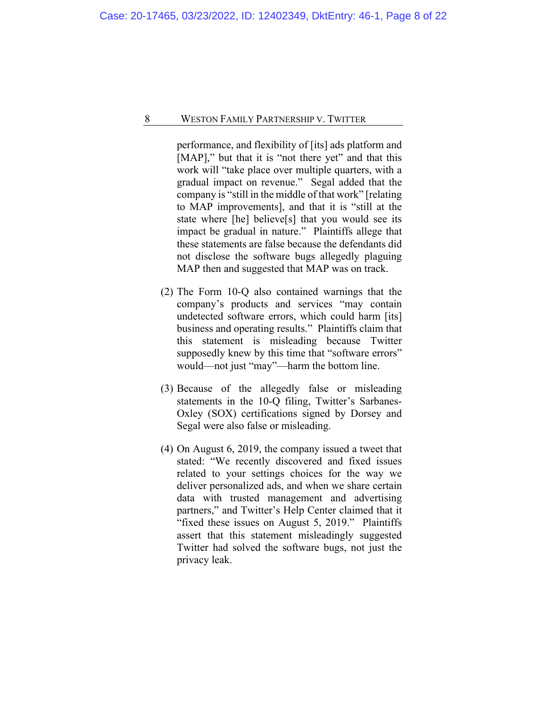performance, and flexibility of [its] ads platform and [MAP]," but that it is "not there yet" and that this work will "take place over multiple quarters, with a gradual impact on revenue." Segal added that the company is "still in the middle of that work" [relating to MAP improvements], and that it is "still at the state where [he] believe[s] that you would see its impact be gradual in nature." Plaintiffs allege that these statements are false because the defendants did not disclose the software bugs allegedly plaguing MAP then and suggested that MAP was on track.

- (2) The Form 10-Q also contained warnings that the company's products and services "may contain undetected software errors, which could harm [its] business and operating results." Plaintiffs claim that this statement is misleading because Twitter supposedly knew by this time that "software errors" would—not just "may"—harm the bottom line.
- (3) Because of the allegedly false or misleading statements in the 10-Q filing, Twitter's Sarbanes-Oxley (SOX) certifications signed by Dorsey and Segal were also false or misleading.
- (4) On August 6, 2019, the company issued a tweet that stated: "We recently discovered and fixed issues related to your settings choices for the way we deliver personalized ads, and when we share certain data with trusted management and advertising partners," and Twitter's Help Center claimed that it "fixed these issues on August 5, 2019." Plaintiffs assert that this statement misleadingly suggested Twitter had solved the software bugs, not just the privacy leak.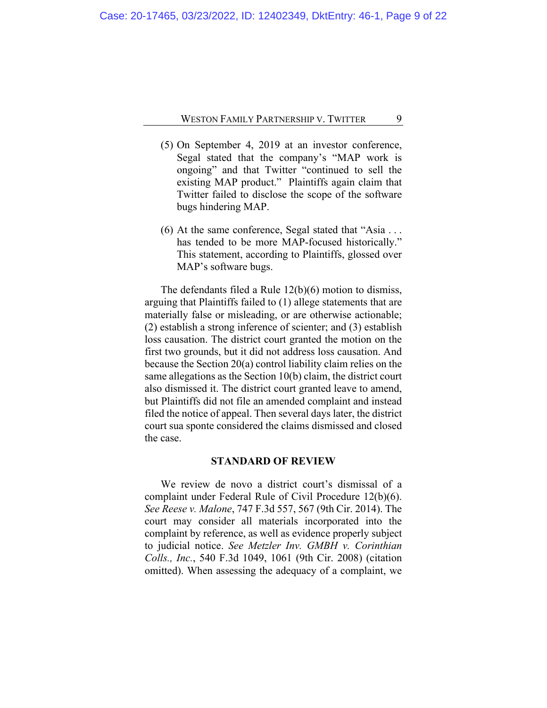- (5) On September 4, 2019 at an investor conference, Segal stated that the company's "MAP work is ongoing" and that Twitter "continued to sell the existing MAP product." Plaintiffs again claim that Twitter failed to disclose the scope of the software bugs hindering MAP.
- (6) At the same conference, Segal stated that "Asia . . . has tended to be more MAP-focused historically." This statement, according to Plaintiffs, glossed over MAP's software bugs.

The defendants filed a Rule 12(b)(6) motion to dismiss, arguing that Plaintiffs failed to (1) allege statements that are materially false or misleading, or are otherwise actionable; (2) establish a strong inference of scienter; and (3) establish loss causation. The district court granted the motion on the first two grounds, but it did not address loss causation. And because the Section 20(a) control liability claim relies on the same allegations as the Section 10(b) claim, the district court also dismissed it. The district court granted leave to amend, but Plaintiffs did not file an amended complaint and instead filed the notice of appeal. Then several days later, the district court sua sponte considered the claims dismissed and closed the case.

#### **STANDARD OF REVIEW**

We review de novo a district court's dismissal of a complaint under Federal Rule of Civil Procedure 12(b)(6). *See Reese v. Malone*, 747 F.3d 557, 567 (9th Cir. 2014). The court may consider all materials incorporated into the complaint by reference, as well as evidence properly subject to judicial notice. *See Metzler Inv. GMBH v. Corinthian Colls., Inc.*, 540 F.3d 1049, 1061 (9th Cir. 2008) (citation omitted). When assessing the adequacy of a complaint, we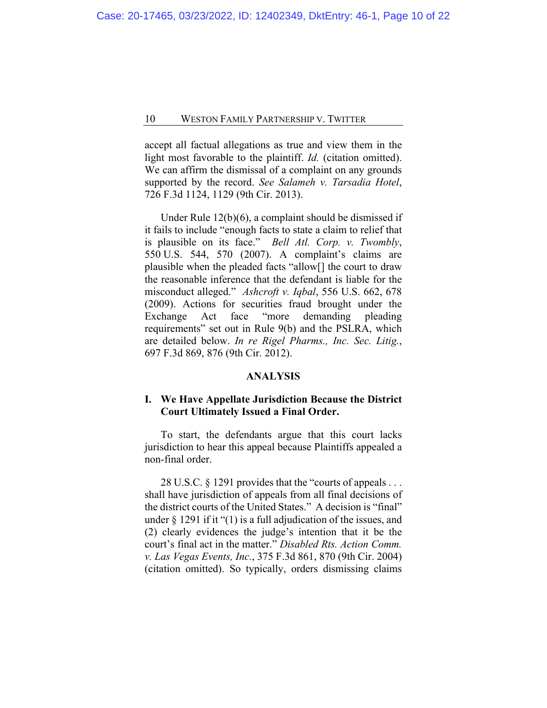accept all factual allegations as true and view them in the light most favorable to the plaintiff. *Id.* (citation omitted). We can affirm the dismissal of a complaint on any grounds supported by the record. *See Salameh v. Tarsadia Hotel*, 726 F.3d 1124, 1129 (9th Cir. 2013).

Under Rule 12(b)(6), a complaint should be dismissed if it fails to include "enough facts to state a claim to relief that is plausible on its face." *Bell Atl. Corp. v. Twombly*, 550 U.S. 544, 570 (2007). A complaint's claims are plausible when the pleaded facts "allow[] the court to draw the reasonable inference that the defendant is liable for the misconduct alleged." *Ashcroft v. Iqbal*, 556 U.S. 662, 678 (2009). Actions for securities fraud brought under the Exchange Act face "more demanding pleading requirements" set out in Rule 9(b) and the PSLRA, which are detailed below. *In re Rigel Pharms., Inc. Sec. Litig.*, 697 F.3d 869, 876 (9th Cir. 2012).

#### **ANALYSIS**

# **I. We Have Appellate Jurisdiction Because the District Court Ultimately Issued a Final Order.**

To start, the defendants argue that this court lacks jurisdiction to hear this appeal because Plaintiffs appealed a non-final order.

28 U.S.C. § 1291 provides that the "courts of appeals . . . shall have jurisdiction of appeals from all final decisions of the district courts of the United States." A decision is "final" under  $\S$  1291 if it "(1) is a full adjudication of the issues, and (2) clearly evidences the judge's intention that it be the court's final act in the matter." *Disabled Rts. Action Comm. v. Las Vegas Events, Inc.*, 375 F.3d 861, 870 (9th Cir. 2004) (citation omitted). So typically, orders dismissing claims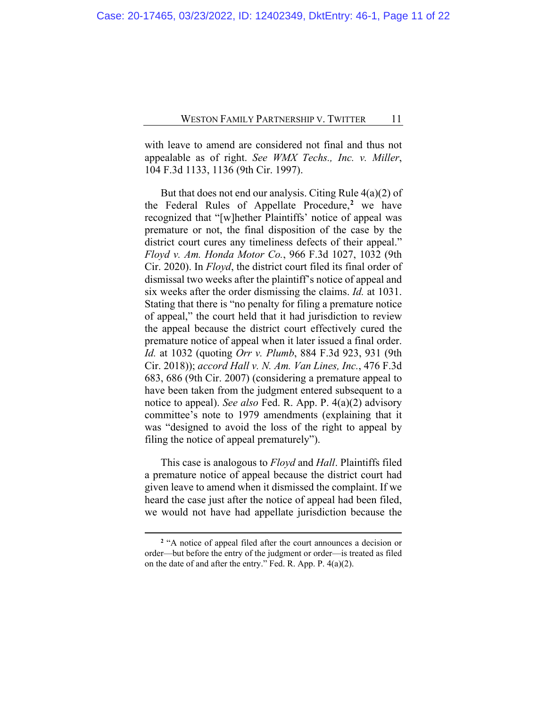with leave to amend are considered not final and thus not appealable as of right. *See WMX Techs., Inc. v. Miller*, 104 F.3d 1133, 1136 (9th Cir. 1997).

But that does not end our analysis. Citing Rule  $4(a)(2)$  of the Federal Rules of Appellate Procedure,**[2](#page-10-0)** we have recognized that "[w]hether Plaintiffs' notice of appeal was premature or not, the final disposition of the case by the district court cures any timeliness defects of their appeal." *Floyd v. Am. Honda Motor Co.*, 966 F.3d 1027, 1032 (9th Cir. 2020). In *Floyd*, the district court filed its final order of dismissal two weeks after the plaintiff's notice of appeal and six weeks after the order dismissing the claims. *Id.* at 1031. Stating that there is "no penalty for filing a premature notice of appeal," the court held that it had jurisdiction to review the appeal because the district court effectively cured the premature notice of appeal when it later issued a final order. *Id.* at 1032 (quoting *Orr v. Plumb*, 884 F.3d 923, 931 (9th Cir. 2018)); *accord Hall v. N. Am. Van Lines, Inc.*, 476 F.3d 683, 686 (9th Cir. 2007) (considering a premature appeal to have been taken from the judgment entered subsequent to a notice to appeal). *See also* Fed. R. App. P. 4(a)(2) advisory committee's note to 1979 amendments (explaining that it was "designed to avoid the loss of the right to appeal by filing the notice of appeal prematurely").

This case is analogous to *Floyd* and *Hall*. Plaintiffs filed a premature notice of appeal because the district court had given leave to amend when it dismissed the complaint. If we heard the case just after the notice of appeal had been filed, we would not have had appellate jurisdiction because the

<span id="page-10-0"></span>**<sup>2</sup>** "A notice of appeal filed after the court announces a decision or order—but before the entry of the judgment or order—is treated as filed on the date of and after the entry." Fed. R. App. P. 4(a)(2).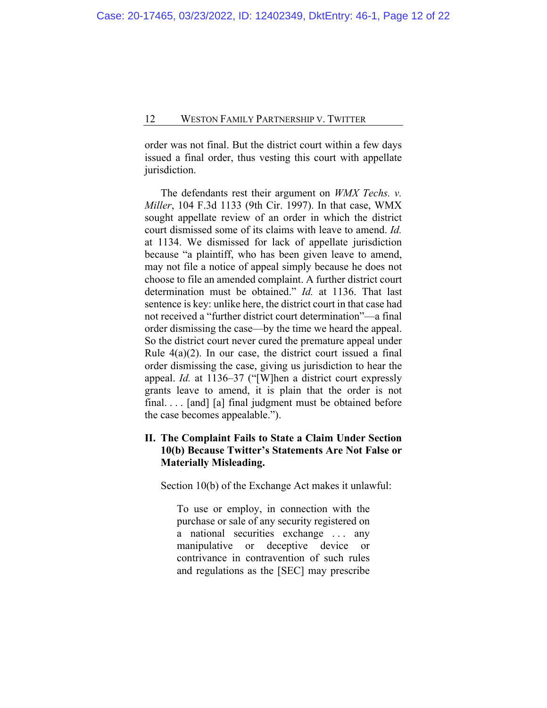order was not final. But the district court within a few days issued a final order, thus vesting this court with appellate jurisdiction.

The defendants rest their argument on *WMX Techs. v. Miller*, 104 F.3d 1133 (9th Cir. 1997). In that case, WMX sought appellate review of an order in which the district court dismissed some of its claims with leave to amend. *Id.* at 1134. We dismissed for lack of appellate jurisdiction because "a plaintiff, who has been given leave to amend, may not file a notice of appeal simply because he does not choose to file an amended complaint. A further district court determination must be obtained." *Id.* at 1136. That last sentence is key: unlike here, the district court in that case had not received a "further district court determination"—a final order dismissing the case—by the time we heard the appeal. So the district court never cured the premature appeal under Rule  $4(a)(2)$ . In our case, the district court issued a final order dismissing the case, giving us jurisdiction to hear the appeal. *Id.* at 1136–37 ("[W]hen a district court expressly grants leave to amend, it is plain that the order is not final. . . . [and] [a] final judgment must be obtained before the case becomes appealable.").

# **II. The Complaint Fails to State a Claim Under Section 10(b) Because Twitter's Statements Are Not False or Materially Misleading.**

Section 10(b) of the Exchange Act makes it unlawful:

To use or employ, in connection with the purchase or sale of any security registered on a national securities exchange . . . any manipulative or deceptive device or contrivance in contravention of such rules and regulations as the [SEC] may prescribe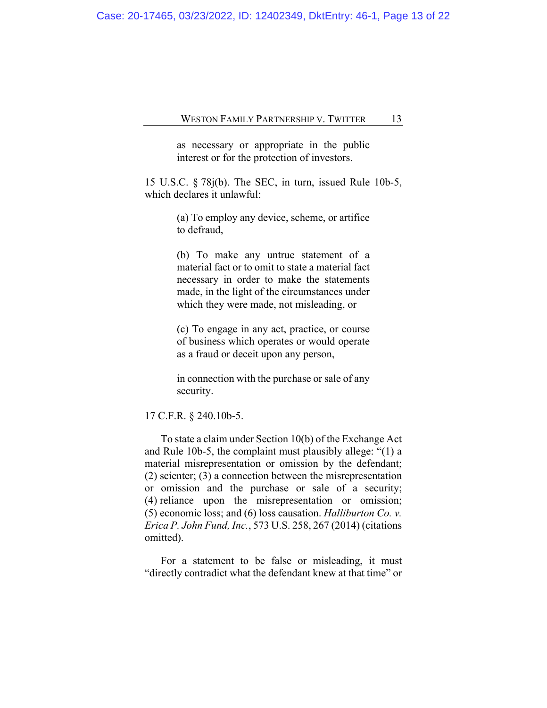Case: 20-17465, 03/23/2022, ID: 12402349, DktEntry: 46-1, Page 13 of 22

#### WESTON FAMILY PARTNERSHIP V. TWITTER 13

as necessary or appropriate in the public interest or for the protection of investors.

15 U.S.C. § 78j(b). The SEC, in turn, issued Rule 10b-5, which declares it unlawful:

> (a) To employ any device, scheme, or artifice to defraud,

> (b) To make any untrue statement of a material fact or to omit to state a material fact necessary in order to make the statements made, in the light of the circumstances under which they were made, not misleading, or

> (c) To engage in any act, practice, or course of business which operates or would operate as a fraud or deceit upon any person,

> in connection with the purchase or sale of any security.

17 C.F.R. § 240.10b-5.

To state a claim under Section 10(b) of the Exchange Act and Rule 10b-5, the complaint must plausibly allege: "(1) a material misrepresentation or omission by the defendant; (2) scienter; (3) a connection between the misrepresentation or omission and the purchase or sale of a security; (4) reliance upon the misrepresentation or omission; (5) economic loss; and (6) loss causation. *Halliburton Co. v. Erica P. John Fund, Inc.*, 573 U.S. 258, 267 (2014) (citations omitted).

For a statement to be false or misleading, it must "directly contradict what the defendant knew at that time" or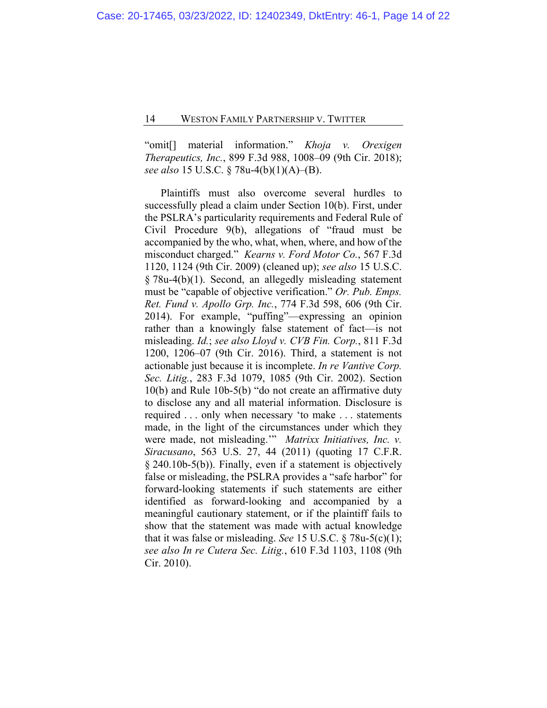"omit[] material information." *Khoja v. Orexigen Therapeutics, Inc.*, 899 F.3d 988, 1008–09 (9th Cir. 2018); *see also* 15 U.S.C. § 78u-4(b)(1)(A)–(B).

Plaintiffs must also overcome several hurdles to successfully plead a claim under Section 10(b). First, under the PSLRA's particularity requirements and Federal Rule of Civil Procedure 9(b), allegations of "fraud must be accompanied by the who, what, when, where, and how of the misconduct charged." *Kearns v. Ford Motor Co.*, 567 F.3d 1120, 1124 (9th Cir. 2009) (cleaned up); *see also* 15 U.S.C. § 78u-4(b)(1). Second, an allegedly misleading statement must be "capable of objective verification." *Or. Pub. Emps. Ret. Fund v. Apollo Grp. Inc.*, 774 F.3d 598, 606 (9th Cir. 2014). For example, "puffing"—expressing an opinion rather than a knowingly false statement of fact—is not misleading. *Id.*; *see also Lloyd v. CVB Fin. Corp.*, 811 F.3d 1200, 1206–07 (9th Cir. 2016). Third, a statement is not actionable just because it is incomplete. *In re Vantive Corp. Sec. Litig.*, 283 F.3d 1079, 1085 (9th Cir. 2002). Section 10(b) and Rule 10b-5(b) "do not create an affirmative duty to disclose any and all material information. Disclosure is required . . . only when necessary 'to make . . . statements made, in the light of the circumstances under which they were made, not misleading.'" *Matrixx Initiatives, Inc. v. Siracusano*, 563 U.S. 27, 44 (2011) (quoting 17 C.F.R. § 240.10b-5(b)). Finally, even if a statement is objectively false or misleading, the PSLRA provides a "safe harbor" for forward-looking statements if such statements are either identified as forward-looking and accompanied by a meaningful cautionary statement, or if the plaintiff fails to show that the statement was made with actual knowledge that it was false or misleading. *See* 15 U.S.C. § 78u-5(c)(1); *see also In re Cutera Sec. Litig.*, 610 F.3d 1103, 1108 (9th Cir. 2010).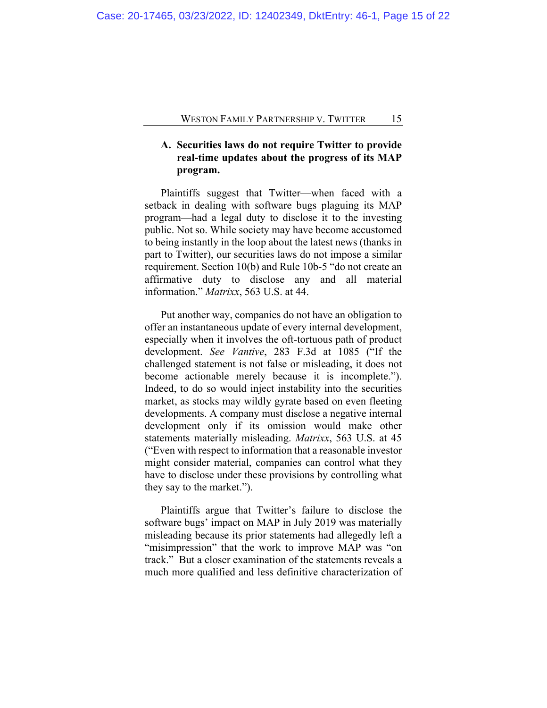# **A. Securities laws do not require Twitter to provide real-time updates about the progress of its MAP program.**

Plaintiffs suggest that Twitter—when faced with a setback in dealing with software bugs plaguing its MAP program—had a legal duty to disclose it to the investing public. Not so. While society may have become accustomed to being instantly in the loop about the latest news (thanks in part to Twitter), our securities laws do not impose a similar requirement. Section 10(b) and Rule 10b-5 "do not create an affirmative duty to disclose any and all material information." *Matrixx*, 563 U.S. at 44.

Put another way, companies do not have an obligation to offer an instantaneous update of every internal development, especially when it involves the oft-tortuous path of product development. *See Vantive*, 283 F.3d at 1085 ("If the challenged statement is not false or misleading, it does not become actionable merely because it is incomplete."). Indeed, to do so would inject instability into the securities market, as stocks may wildly gyrate based on even fleeting developments. A company must disclose a negative internal development only if its omission would make other statements materially misleading. *Matrixx*, 563 U.S. at 45 ("Even with respect to information that a reasonable investor might consider material, companies can control what they have to disclose under these provisions by controlling what they say to the market.").

Plaintiffs argue that Twitter's failure to disclose the software bugs' impact on MAP in July 2019 was materially misleading because its prior statements had allegedly left a "misimpression" that the work to improve MAP was "on track." But a closer examination of the statements reveals a much more qualified and less definitive characterization of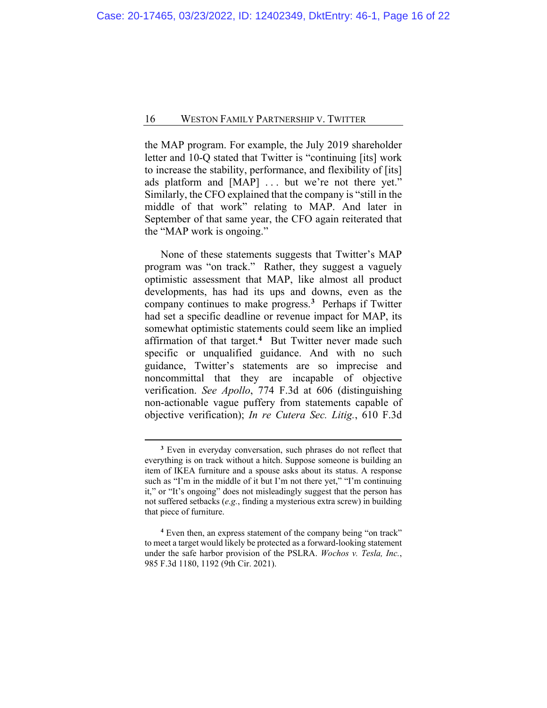the MAP program. For example, the July 2019 shareholder letter and 10-Q stated that Twitter is "continuing [its] work to increase the stability, performance, and flexibility of [its] ads platform and [MAP] ... but we're not there yet." Similarly, the CFO explained that the company is "still in the middle of that work" relating to MAP. And later in September of that same year, the CFO again reiterated that the "MAP work is ongoing."

None of these statements suggests that Twitter's MAP program was "on track." Rather, they suggest a vaguely optimistic assessment that MAP, like almost all product developments, has had its ups and downs, even as the company continues to make progress.**[3](#page-15-0)** Perhaps if Twitter had set a specific deadline or revenue impact for MAP, its somewhat optimistic statements could seem like an implied affirmation of that target.**[4](#page-15-1)** But Twitter never made such specific or unqualified guidance. And with no such guidance, Twitter's statements are so imprecise and noncommittal that they are incapable of objective verification. *See Apollo*, 774 F.3d at 606 (distinguishing non-actionable vague puffery from statements capable of objective verification); *In re Cutera Sec. Litig.*, 610 F.3d

**<sup>3</sup>** Even in everyday conversation, such phrases do not reflect that everything is on track without a hitch. Suppose someone is building an item of IKEA furniture and a spouse asks about its status. A response such as "I'm in the middle of it but I'm not there yet," "I'm continuing it," or "It's ongoing" does not misleadingly suggest that the person has not suffered setbacks (*e.g.*, finding a mysterious extra screw) in building that piece of furniture.

<span id="page-15-1"></span><span id="page-15-0"></span>**<sup>4</sup>** Even then, an express statement of the company being "on track" to meet a target would likely be protected as a forward-looking statement under the safe harbor provision of the PSLRA. *Wochos v. Tesla, Inc.*, 985 F.3d 1180, 1192 (9th Cir. 2021).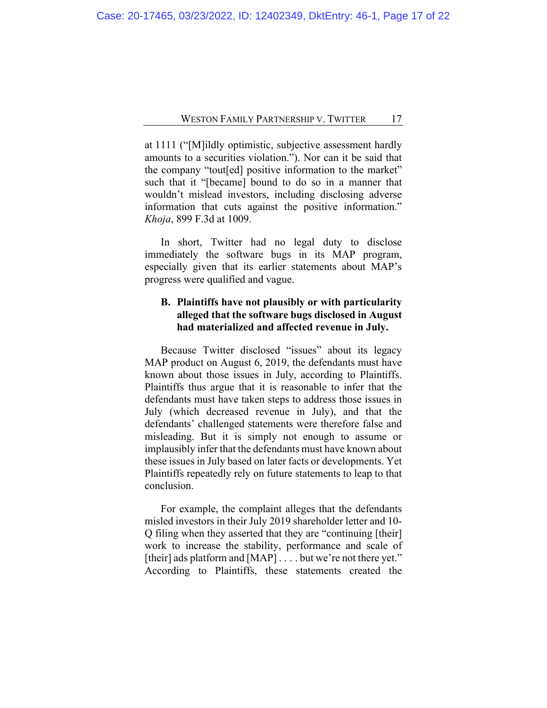at 1111 ("[M]ildly optimistic, subjective assessment hardly amounts to a securities violation."). Nor can it be said that the company "tout[ed] positive information to the market" such that it "[became] bound to do so in a manner that wouldn't mislead investors, including disclosing adverse information that cuts against the positive information." *Khoja*, 899 F.3d at 1009.

In short, Twitter had no legal duty to disclose immediately the software bugs in its MAP program, especially given that its earlier statements about MAP's progress were qualified and vague.

## **B. Plaintiffs have not plausibly or with particularity alleged that the software bugs disclosed in August had materialized and affected revenue in July.**

Because Twitter disclosed "issues" about its legacy MAP product on August 6, 2019, the defendants must have known about those issues in July, according to Plaintiffs. Plaintiffs thus argue that it is reasonable to infer that the defendants must have taken steps to address those issues in July (which decreased revenue in July), and that the defendants' challenged statements were therefore false and misleading. But it is simply not enough to assume or implausibly infer that the defendants must have known about these issues in July based on later facts or developments. Yet Plaintiffs repeatedly rely on future statements to leap to that conclusion.

For example, the complaint alleges that the defendants misled investors in their July 2019 shareholder letter and 10- Q filing when they asserted that they are "continuing [their] work to increase the stability, performance and scale of [their] ads platform and [MAP] . . . . but we're not there yet." According to Plaintiffs, these statements created the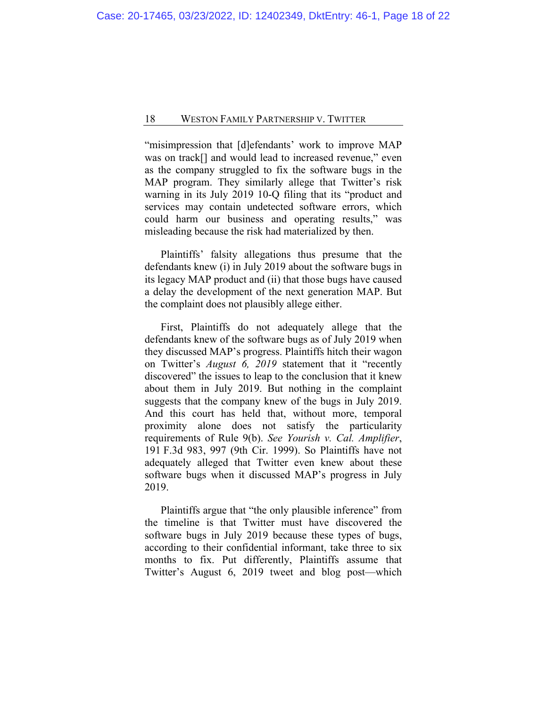"misimpression that [d]efendants' work to improve MAP was on track[] and would lead to increased revenue," even as the company struggled to fix the software bugs in the MAP program. They similarly allege that Twitter's risk warning in its July 2019 10-Q filing that its "product and services may contain undetected software errors, which could harm our business and operating results," was misleading because the risk had materialized by then.

Plaintiffs' falsity allegations thus presume that the defendants knew (i) in July 2019 about the software bugs in its legacy MAP product and (ii) that those bugs have caused a delay the development of the next generation MAP. But the complaint does not plausibly allege either.

First, Plaintiffs do not adequately allege that the defendants knew of the software bugs as of July 2019 when they discussed MAP's progress. Plaintiffs hitch their wagon on Twitter's *August 6, 2019* statement that it "recently discovered" the issues to leap to the conclusion that it knew about them in July 2019. But nothing in the complaint suggests that the company knew of the bugs in July 2019. And this court has held that, without more, temporal proximity alone does not satisfy the particularity requirements of Rule 9(b). *See Yourish v. Cal. Amplifier*, 191 F.3d 983, 997 (9th Cir. 1999). So Plaintiffs have not adequately alleged that Twitter even knew about these software bugs when it discussed MAP's progress in July 2019.

Plaintiffs argue that "the only plausible inference" from the timeline is that Twitter must have discovered the software bugs in July 2019 because these types of bugs, according to their confidential informant, take three to six months to fix. Put differently, Plaintiffs assume that Twitter's August 6, 2019 tweet and blog post—which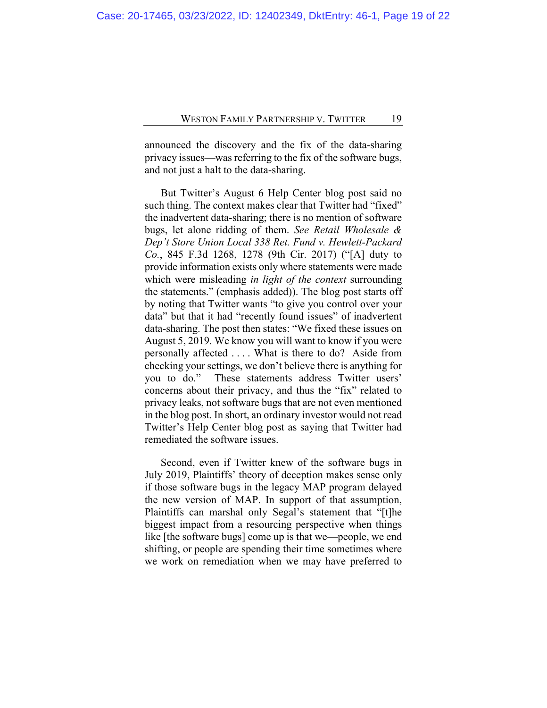announced the discovery and the fix of the data-sharing privacy issues—was referring to the fix of the software bugs, and not just a halt to the data-sharing.

But Twitter's August 6 Help Center blog post said no such thing. The context makes clear that Twitter had "fixed" the inadvertent data-sharing; there is no mention of software bugs, let alone ridding of them. *See Retail Wholesale & Dep't Store Union Local 338 Ret. Fund v. Hewlett-Packard Co.*, 845 F.3d 1268, 1278 (9th Cir. 2017) ("[A] duty to provide information exists only where statements were made which were misleading *in light of the context* surrounding the statements." (emphasis added)). The blog post starts off by noting that Twitter wants "to give you control over your data" but that it had "recently found issues" of inadvertent data-sharing. The post then states: "We fixed these issues on August 5, 2019. We know you will want to know if you were personally affected . . . . What is there to do? Aside from checking your settings, we don't believe there is anything for you to do." These statements address Twitter users' concerns about their privacy, and thus the "fix" related to privacy leaks, not software bugs that are not even mentioned in the blog post. In short, an ordinary investor would not read Twitter's Help Center blog post as saying that Twitter had remediated the software issues.

Second, even if Twitter knew of the software bugs in July 2019, Plaintiffs' theory of deception makes sense only if those software bugs in the legacy MAP program delayed the new version of MAP. In support of that assumption, Plaintiffs can marshal only Segal's statement that "[t]he biggest impact from a resourcing perspective when things like [the software bugs] come up is that we—people, we end shifting, or people are spending their time sometimes where we work on remediation when we may have preferred to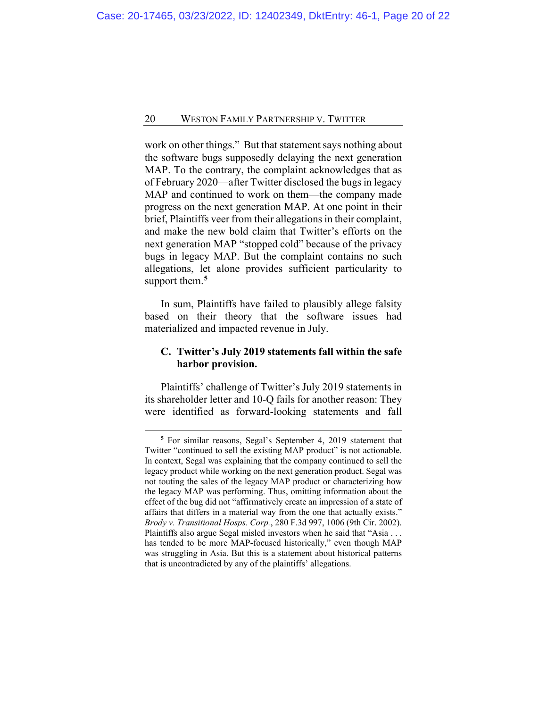work on other things." But that statement says nothing about the software bugs supposedly delaying the next generation MAP. To the contrary, the complaint acknowledges that as of February 2020—after Twitter disclosed the bugs in legacy MAP and continued to work on them—the company made progress on the next generation MAP. At one point in their brief, Plaintiffs veer from their allegations in their complaint, and make the new bold claim that Twitter's efforts on the next generation MAP "stopped cold" because of the privacy bugs in legacy MAP. But the complaint contains no such allegations, let alone provides sufficient particularity to support them.**[5](#page-19-0)**

In sum, Plaintiffs have failed to plausibly allege falsity based on their theory that the software issues had materialized and impacted revenue in July.

### **C. Twitter's July 2019 statements fall within the safe harbor provision.**

Plaintiffs' challenge of Twitter's July 2019 statements in its shareholder letter and 10-Q fails for another reason: They were identified as forward-looking statements and fall

<span id="page-19-0"></span>**<sup>5</sup>** For similar reasons, Segal's September 4, 2019 statement that Twitter "continued to sell the existing MAP product" is not actionable. In context, Segal was explaining that the company continued to sell the legacy product while working on the next generation product. Segal was not touting the sales of the legacy MAP product or characterizing how the legacy MAP was performing. Thus, omitting information about the effect of the bug did not "affirmatively create an impression of a state of affairs that differs in a material way from the one that actually exists." *Brody v. Transitional Hosps. Corp.*, 280 F.3d 997, 1006 (9th Cir. 2002). Plaintiffs also argue Segal misled investors when he said that "Asia . . . has tended to be more MAP-focused historically," even though MAP was struggling in Asia. But this is a statement about historical patterns that is uncontradicted by any of the plaintiffs' allegations.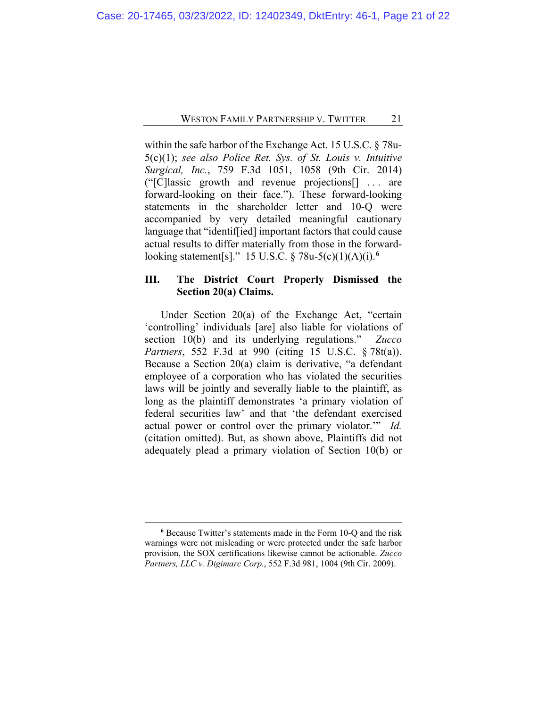within the safe harbor of the Exchange Act. 15 U.S.C. § 78u-5(c)(1); *see also Police Ret. Sys. of St. Louis v. Intuitive Surgical, Inc.*, 759 F.3d 1051, 1058 (9th Cir. 2014) ("[C]lassic growth and revenue projections[] . . . are forward-looking on their face."). These forward-looking statements in the shareholder letter and 10-Q were accompanied by very detailed meaningful cautionary language that "identif[ied] important factors that could cause actual results to differ materially from those in the forwardlooking statement[s]." 15 U.S.C. § 78u-5(c)(1)(A)(i).**[6](#page-20-0)**

### **III. The District Court Properly Dismissed the Section 20(a) Claims.**

Under Section 20(a) of the Exchange Act, "certain 'controlling' individuals [are] also liable for violations of section 10(b) and its underlying regulations." *Zucco Partners*, 552 F.3d at 990 (citing 15 U.S.C. § 78t(a)). Because a Section 20(a) claim is derivative, "a defendant employee of a corporation who has violated the securities laws will be jointly and severally liable to the plaintiff, as long as the plaintiff demonstrates 'a primary violation of federal securities law' and that 'the defendant exercised actual power or control over the primary violator.'" *Id.* (citation omitted). But, as shown above, Plaintiffs did not adequately plead a primary violation of Section 10(b) or

<span id="page-20-0"></span>**<sup>6</sup>** Because Twitter's statements made in the Form 10-Q and the risk warnings were not misleading or were protected under the safe harbor provision, the SOX certifications likewise cannot be actionable. *Zucco Partners, LLC v. Digimarc Corp.*, 552 F.3d 981, 1004 (9th Cir. 2009).